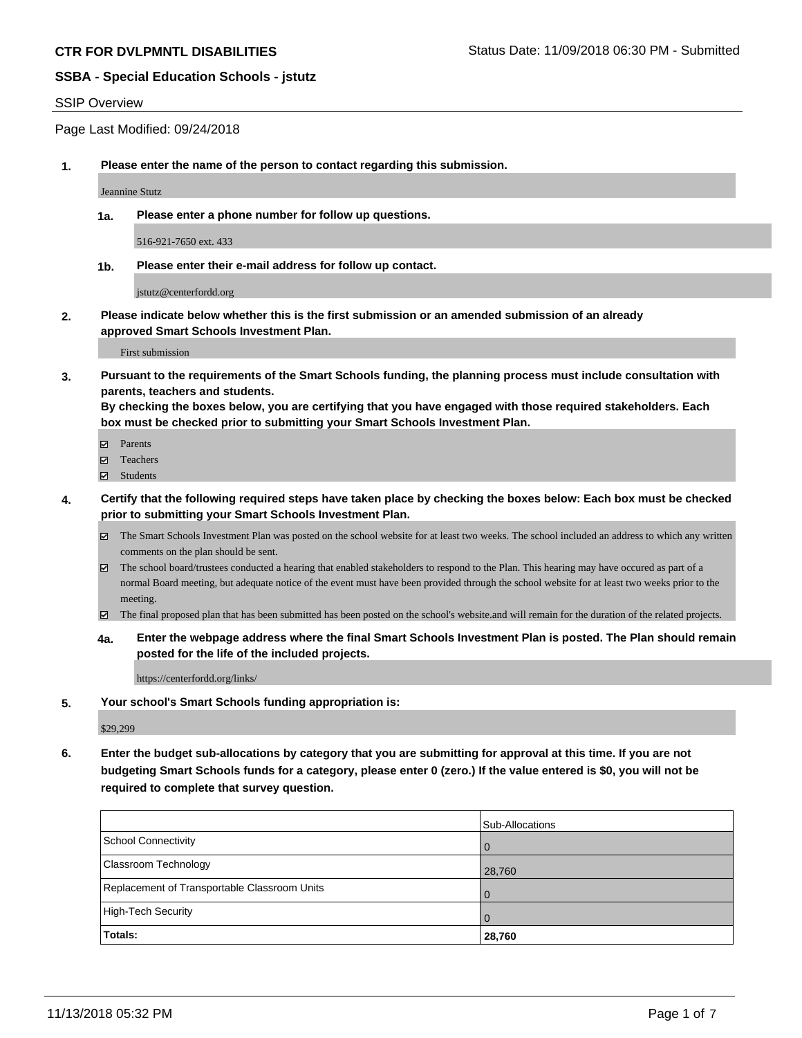#### SSIP Overview

Page Last Modified: 09/24/2018

**1. Please enter the name of the person to contact regarding this submission.**

Jeannine Stutz

**1a. Please enter a phone number for follow up questions.**

516-921-7650 ext. 433

**1b. Please enter their e-mail address for follow up contact.**

jstutz@centerfordd.org

**2. Please indicate below whether this is the first submission or an amended submission of an already approved Smart Schools Investment Plan.**

First submission

**3. Pursuant to the requirements of the Smart Schools funding, the planning process must include consultation with parents, teachers and students.**

**By checking the boxes below, you are certifying that you have engaged with those required stakeholders. Each box must be checked prior to submitting your Smart Schools Investment Plan.**

- $\blacksquare$  Parents
- Teachers
- Students
- **4. Certify that the following required steps have taken place by checking the boxes below: Each box must be checked prior to submitting your Smart Schools Investment Plan.**
	- $\boxtimes$  The Smart Schools Investment Plan was posted on the school website for at least two weeks. The school included an address to which any written comments on the plan should be sent.
	- $\boxtimes$  The school board/trustees conducted a hearing that enabled stakeholders to respond to the Plan. This hearing may have occured as part of a normal Board meeting, but adequate notice of the event must have been provided through the school website for at least two weeks prior to the meeting.
	- The final proposed plan that has been submitted has been posted on the school's website.and will remain for the duration of the related projects.
	- **4a. Enter the webpage address where the final Smart Schools Investment Plan is posted. The Plan should remain posted for the life of the included projects.**

https://centerfordd.org/links/

**5. Your school's Smart Schools funding appropriation is:**

\$29,299

**6. Enter the budget sub-allocations by category that you are submitting for approval at this time. If you are not budgeting Smart Schools funds for a category, please enter 0 (zero.) If the value entered is \$0, you will not be required to complete that survey question.**

|                                              | <b>Sub-Allocations</b> |
|----------------------------------------------|------------------------|
| School Connectivity                          | <b>O</b>               |
| <b>Classroom Technology</b>                  | 28,760                 |
| Replacement of Transportable Classroom Units | $\Omega$               |
| High-Tech Security                           | $\Omega$               |
| Totals:                                      | 28,760                 |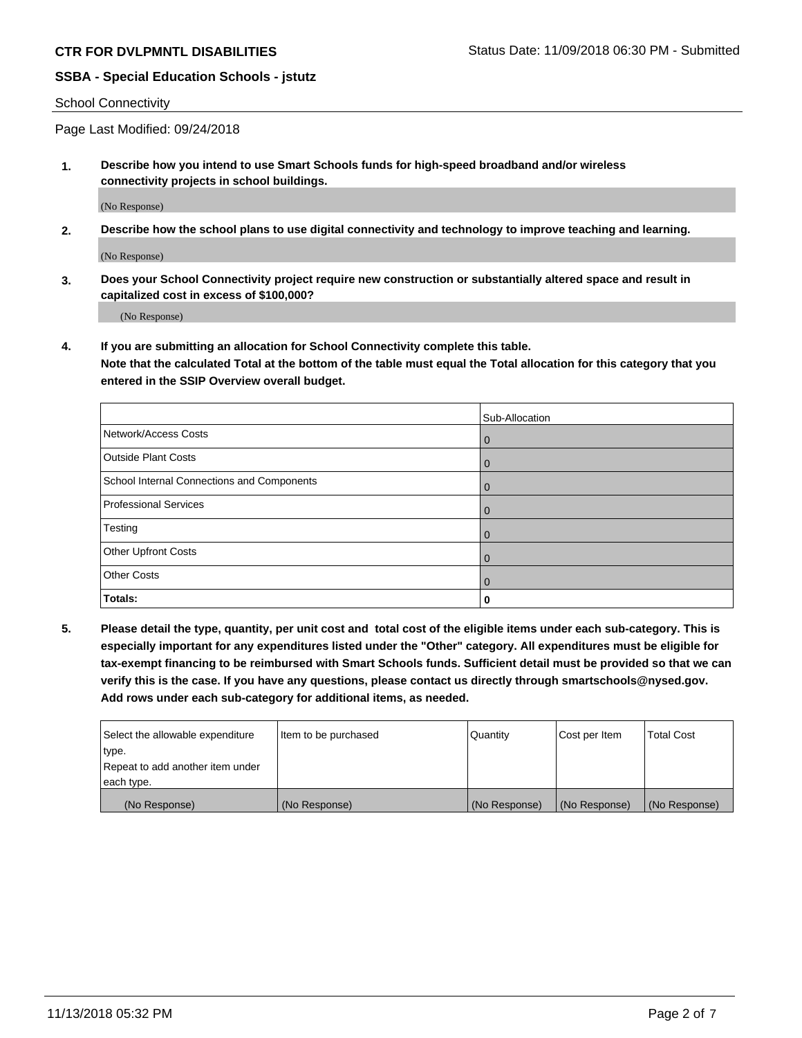#### School Connectivity

Page Last Modified: 09/24/2018

**1. Describe how you intend to use Smart Schools funds for high-speed broadband and/or wireless connectivity projects in school buildings.**

(No Response)

**2. Describe how the school plans to use digital connectivity and technology to improve teaching and learning.**

(No Response)

**3. Does your School Connectivity project require new construction or substantially altered space and result in capitalized cost in excess of \$100,000?**

(No Response)

**4. If you are submitting an allocation for School Connectivity complete this table.**

**Note that the calculated Total at the bottom of the table must equal the Total allocation for this category that you entered in the SSIP Overview overall budget.** 

|                                            | Sub-Allocation |
|--------------------------------------------|----------------|
| Network/Access Costs                       | $\overline{0}$ |
| <b>Outside Plant Costs</b>                 | $\overline{0}$ |
| School Internal Connections and Components | $\overline{0}$ |
| <b>Professional Services</b>               | $\Omega$       |
| Testing                                    | $\overline{0}$ |
| <b>Other Upfront Costs</b>                 | $\overline{0}$ |
| <b>Other Costs</b>                         | $\Omega$       |
| Totals:                                    | 0              |

**5. Please detail the type, quantity, per unit cost and total cost of the eligible items under each sub-category. This is especially important for any expenditures listed under the "Other" category. All expenditures must be eligible for tax-exempt financing to be reimbursed with Smart Schools funds. Sufficient detail must be provided so that we can verify this is the case. If you have any questions, please contact us directly through smartschools@nysed.gov. Add rows under each sub-category for additional items, as needed.**

| Select the allowable expenditure | Item to be purchased | Quantity      | Cost per Item | Total Cost    |
|----------------------------------|----------------------|---------------|---------------|---------------|
| type.                            |                      |               |               |               |
| Repeat to add another item under |                      |               |               |               |
| each type.                       |                      |               |               |               |
| (No Response)                    | (No Response)        | (No Response) | (No Response) | (No Response) |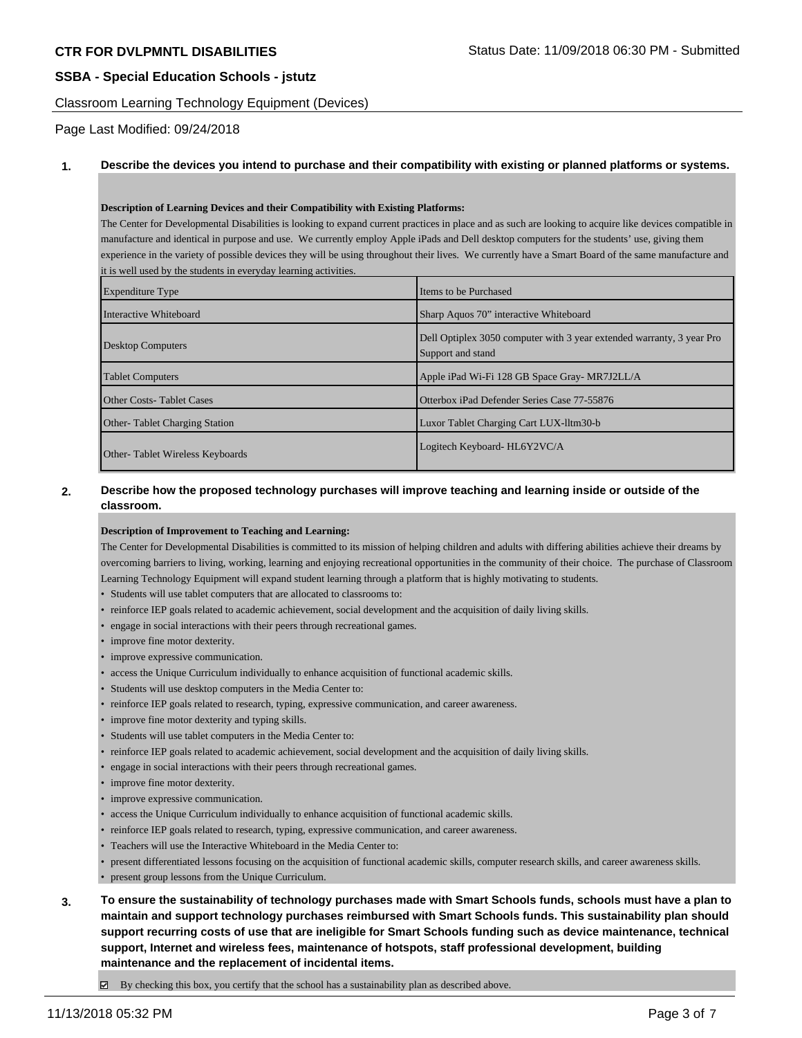Classroom Learning Technology Equipment (Devices)

Page Last Modified: 09/24/2018

#### **1. Describe the devices you intend to purchase and their compatibility with existing or planned platforms or systems.**

#### **Description of Learning Devices and their Compatibility with Existing Platforms:**

The Center for Developmental Disabilities is looking to expand current practices in place and as such are looking to acquire like devices compatible in manufacture and identical in purpose and use. We currently employ Apple iPads and Dell desktop computers for the students' use, giving them experience in the variety of possible devices they will be using throughout their lives. We currently have a Smart Board of the same manufacture and it is well used by the students in everyday learning activities.

| <b>Expenditure Type</b>              | Items to be Purchased                                                                      |  |  |
|--------------------------------------|--------------------------------------------------------------------------------------------|--|--|
| Interactive Whiteboard               | Sharp Aquos 70" interactive Whiteboard                                                     |  |  |
| Desktop Computers                    | Dell Optiplex 3050 computer with 3 year extended warranty, 3 year Pro<br>Support and stand |  |  |
| <b>Tablet Computers</b>              | Apple iPad Wi-Fi 128 GB Space Gray- MR7J2LL/A                                              |  |  |
| <b>Other Costs-Tablet Cases</b>      | Otterbox iPad Defender Series Case 77-55876                                                |  |  |
| <b>Other-Tablet Charging Station</b> | Luxor Tablet Charging Cart LUX-lltm30-b                                                    |  |  |
| Other-Tablet Wireless Keyboards      | Logitech Keyboard-HL6Y2VC/A                                                                |  |  |

## **2. Describe how the proposed technology purchases will improve teaching and learning inside or outside of the classroom.**

#### **Description of Improvement to Teaching and Learning:**

The Center for Developmental Disabilities is committed to its mission of helping children and adults with differing abilities achieve their dreams by overcoming barriers to living, working, learning and enjoying recreational opportunities in the community of their choice. The purchase of Classroom Learning Technology Equipment will expand student learning through a platform that is highly motivating to students.

- Students will use tablet computers that are allocated to classrooms to:
- reinforce IEP goals related to academic achievement, social development and the acquisition of daily living skills.
- engage in social interactions with their peers through recreational games.
- improve fine motor dexterity.
- improve expressive communication.
- access the Unique Curriculum individually to enhance acquisition of functional academic skills.
- Students will use desktop computers in the Media Center to:
- reinforce IEP goals related to research, typing, expressive communication, and career awareness.
- improve fine motor dexterity and typing skills.
- Students will use tablet computers in the Media Center to:
- reinforce IEP goals related to academic achievement, social development and the acquisition of daily living skills.
- engage in social interactions with their peers through recreational games.
- improve fine motor dexterity.
- improve expressive communication.
- access the Unique Curriculum individually to enhance acquisition of functional academic skills.
- reinforce IEP goals related to research, typing, expressive communication, and career awareness.
- Teachers will use the Interactive Whiteboard in the Media Center to:
- present differentiated lessons focusing on the acquisition of functional academic skills, computer research skills, and career awareness skills.
- present group lessons from the Unique Curriculum.
- **3. To ensure the sustainability of technology purchases made with Smart Schools funds, schools must have a plan to maintain and support technology purchases reimbursed with Smart Schools funds. This sustainability plan should support recurring costs of use that are ineligible for Smart Schools funding such as device maintenance, technical support, Internet and wireless fees, maintenance of hotspots, staff professional development, building maintenance and the replacement of incidental items.**

 $\boxtimes$  By checking this box, you certify that the school has a sustainability plan as described above.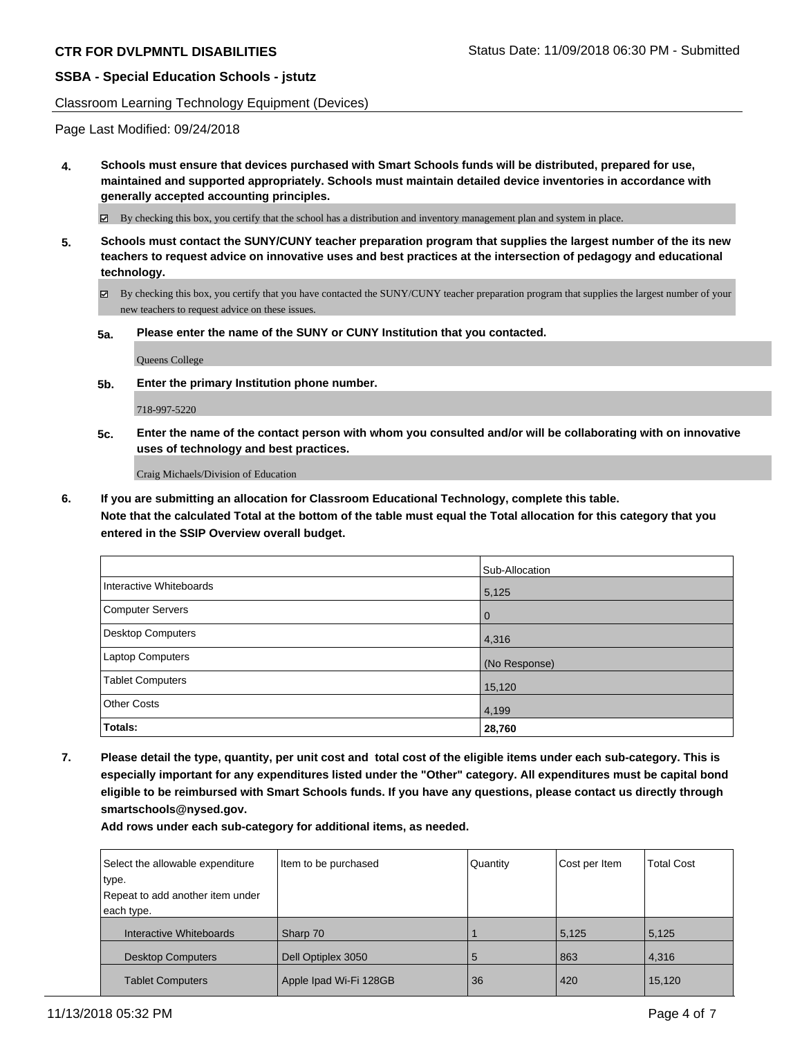#### Classroom Learning Technology Equipment (Devices)

Page Last Modified: 09/24/2018

**4. Schools must ensure that devices purchased with Smart Schools funds will be distributed, prepared for use, maintained and supported appropriately. Schools must maintain detailed device inventories in accordance with generally accepted accounting principles.**

By checking this box, you certify that the school has a distribution and inventory management plan and system in place.

- **5. Schools must contact the SUNY/CUNY teacher preparation program that supplies the largest number of the its new teachers to request advice on innovative uses and best practices at the intersection of pedagogy and educational technology.**
	- By checking this box, you certify that you have contacted the SUNY/CUNY teacher preparation program that supplies the largest number of your new teachers to request advice on these issues.
	- **5a. Please enter the name of the SUNY or CUNY Institution that you contacted.**

Queens College

**5b. Enter the primary Institution phone number.**

718-997-5220

**5c. Enter the name of the contact person with whom you consulted and/or will be collaborating with on innovative uses of technology and best practices.**

Craig Michaels/Division of Education

**6. If you are submitting an allocation for Classroom Educational Technology, complete this table.**

**Note that the calculated Total at the bottom of the table must equal the Total allocation for this category that you entered in the SSIP Overview overall budget.**

|                          | Sub-Allocation |
|--------------------------|----------------|
| Interactive Whiteboards  | 5,125          |
| Computer Servers         | $\Omega$       |
| <b>Desktop Computers</b> | 4,316          |
| <b>Laptop Computers</b>  | (No Response)  |
| <b>Tablet Computers</b>  | 15,120         |
| <b>Other Costs</b>       | 4,199          |
| Totals:                  | 28,760         |

**7. Please detail the type, quantity, per unit cost and total cost of the eligible items under each sub-category. This is especially important for any expenditures listed under the "Other" category. All expenditures must be capital bond eligible to be reimbursed with Smart Schools funds. If you have any questions, please contact us directly through smartschools@nysed.gov.**

**Add rows under each sub-category for additional items, as needed.**

| Select the allowable expenditure<br>type. | Item to be purchased   | Quantity | Cost per Item | <b>Total Cost</b> |
|-------------------------------------------|------------------------|----------|---------------|-------------------|
| Repeat to add another item under          |                        |          |               |                   |
| each type.                                |                        |          |               |                   |
| Interactive Whiteboards                   | Sharp 70               |          | 5,125         | 5,125             |
| <b>Desktop Computers</b>                  | Dell Optiplex 3050     | 5        | 863           | 4,316             |
| <b>Tablet Computers</b>                   | Apple Ipad Wi-Fi 128GB | 36       | 420           | 15,120            |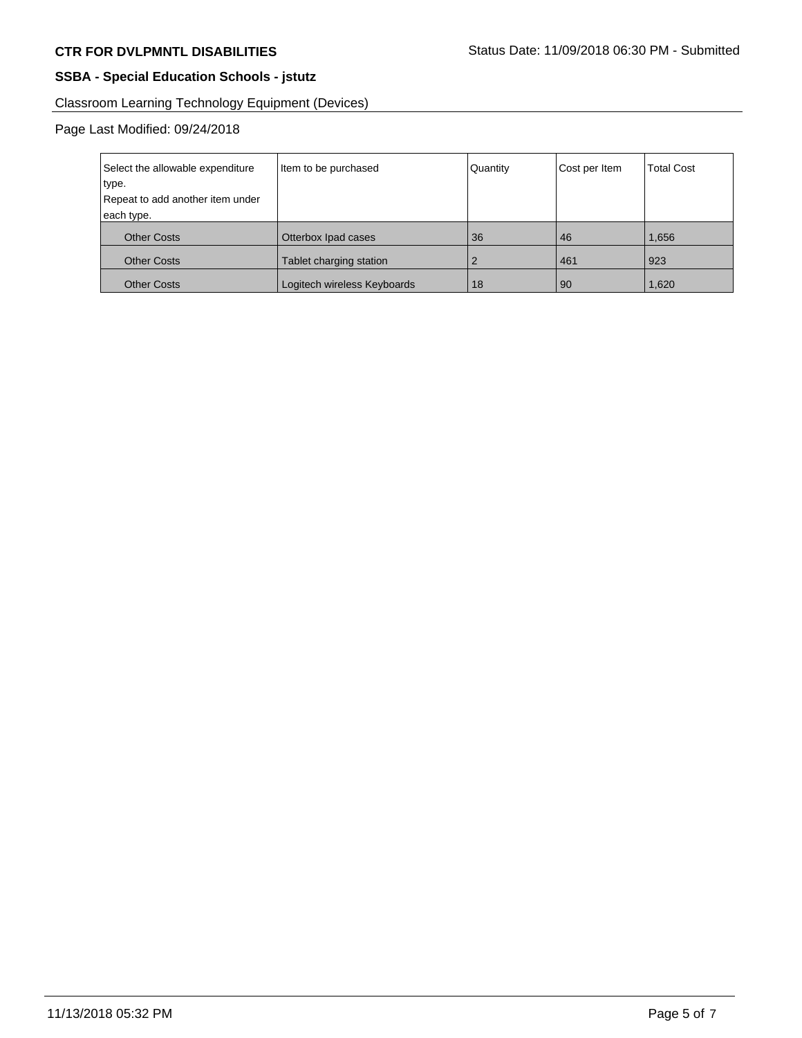# Classroom Learning Technology Equipment (Devices)

## Page Last Modified: 09/24/2018

| Select the allowable expenditure | Item to be purchased        | Quantity | Cost per Item | <b>Total Cost</b> |
|----------------------------------|-----------------------------|----------|---------------|-------------------|
| type.                            |                             |          |               |                   |
| Repeat to add another item under |                             |          |               |                   |
| each type.                       |                             |          |               |                   |
| <b>Other Costs</b>               | Otterbox Ipad cases         | 36       | 46            | 1,656             |
| <b>Other Costs</b>               | Tablet charging station     |          | 461           | 923               |
| <b>Other Costs</b>               | Logitech wireless Keyboards | 18       | 90            | 1,620             |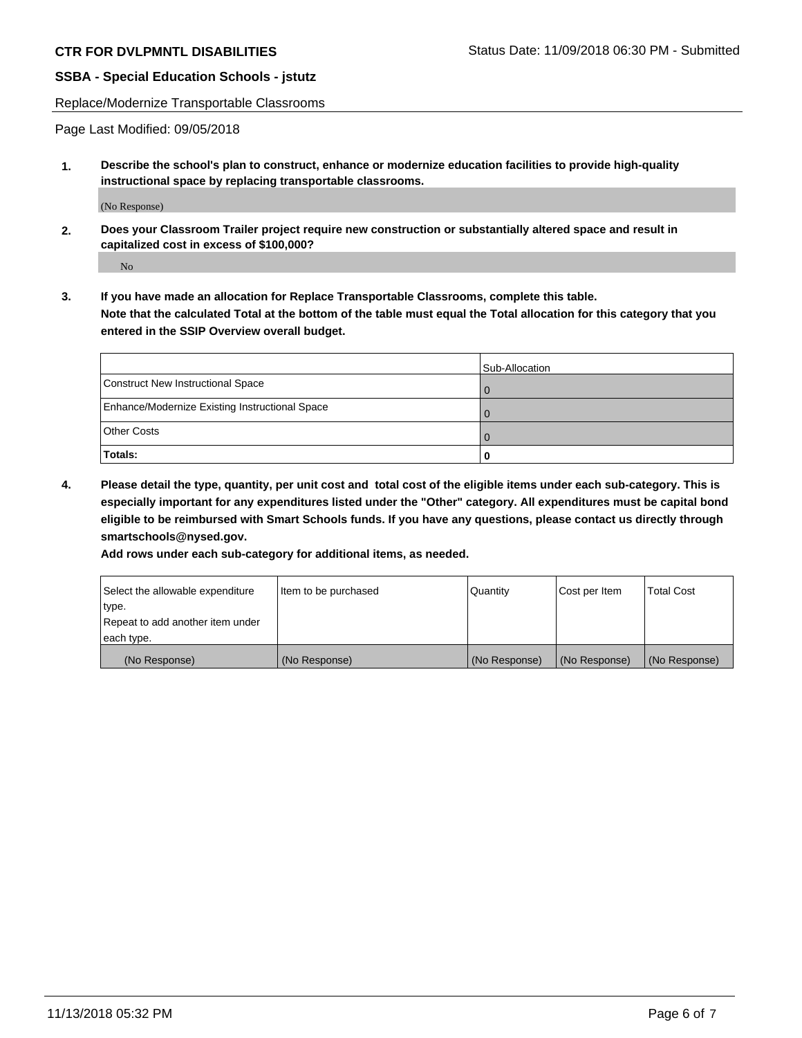Replace/Modernize Transportable Classrooms

Page Last Modified: 09/05/2018

**1. Describe the school's plan to construct, enhance or modernize education facilities to provide high-quality instructional space by replacing transportable classrooms.**

(No Response)

**2. Does your Classroom Trailer project require new construction or substantially altered space and result in capitalized cost in excess of \$100,000?**

No

**3. If you have made an allocation for Replace Transportable Classrooms, complete this table. Note that the calculated Total at the bottom of the table must equal the Total allocation for this category that you entered in the SSIP Overview overall budget.**

|                                                | Sub-Allocation |
|------------------------------------------------|----------------|
| Construct New Instructional Space              |                |
| Enhance/Modernize Existing Instructional Space |                |
| <b>Other Costs</b>                             |                |
| Totals:                                        | 0              |

**4. Please detail the type, quantity, per unit cost and total cost of the eligible items under each sub-category. This is especially important for any expenditures listed under the "Other" category. All expenditures must be capital bond eligible to be reimbursed with Smart Schools funds. If you have any questions, please contact us directly through smartschools@nysed.gov.**

**Add rows under each sub-category for additional items, as needed.**

| Select the allowable expenditure | Item to be purchased | Quantity      | Cost per Item | <b>Total Cost</b> |
|----------------------------------|----------------------|---------------|---------------|-------------------|
| type.                            |                      |               |               |                   |
| Repeat to add another item under |                      |               |               |                   |
| each type.                       |                      |               |               |                   |
| (No Response)                    | (No Response)        | (No Response) | (No Response) | (No Response)     |